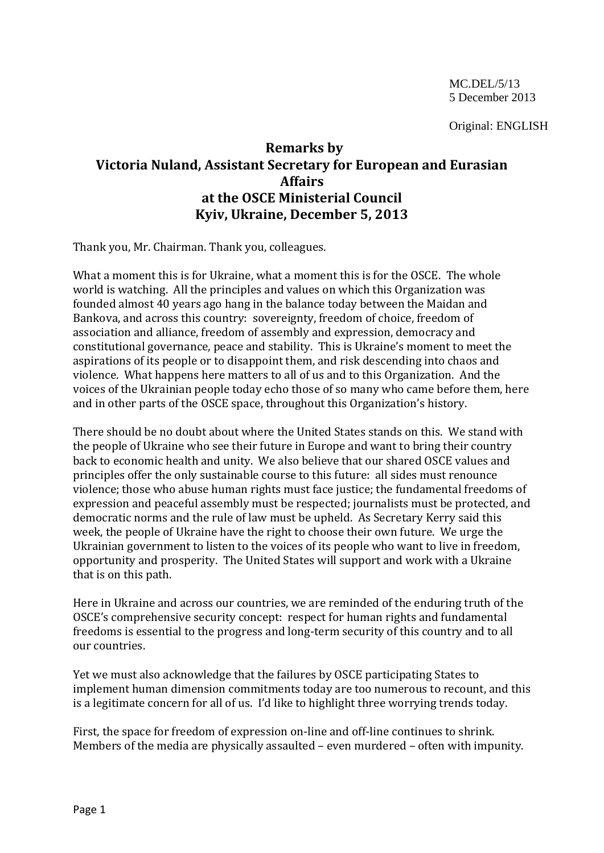Original: ENGLISH

## **Remarks by Victoria Nuland, Assistant Secretary for European and Eurasian Affairs at the OSCE Ministerial Council Kyiv, Ukraine, December 5, 2013**

Thank you, Mr. Chairman. Thank you, colleagues.

What a moment this is for Ukraine, what a moment this is for the OSCE. The whole world is watching. All the principles and values on which this Organization was founded almost 40 years ago hang in the balance today between the Maidan and Bankova, and across this country: sovereignty, freedom of choice, freedom of association and alliance, freedom of assembly and expression, democracy and constitutional governance, peace and stability. This is Ukraine's moment to meet the aspirations of its people or to disappoint them, and risk descending into chaos and violence. What happens here matters to all of us and to this Organization. And the voices of the Ukrainian people today echo those of so many who came before them, here and in other parts of the OSCE space, throughout this Organization's history.

There should be no doubt about where the United States stands on this. We stand with the people of Ukraine who see their future in Europe and want to bring their country back to economic health and unity. We also believe that our shared OSCE values and principles offer the only sustainable course to this future: all sides must renounce violence; those who abuse human rights must face justice; the fundamental freedoms of expression and peaceful assembly must be respected; journalists must be protected, and democratic norms and the rule of law must be upheld. As Secretary Kerry said this week, the people of Ukraine have the right to choose their own future. We urge the Ukrainian government to listen to the voices of its people who want to live in freedom, opportunity and prosperity. The United States will support and work with a Ukraine that is on this path.

Here in Ukraine and across our countries, we are reminded of the enduring truth of the OSCE's comprehensive security concept: respect for human rights and fundamental freedoms is essential to the progress and long-term security of this country and to all our countries.

Yet we must also acknowledge that the failures by OSCE participating States to implement human dimension commitments today are too numerous to recount, and this is a legitimate concern for all of us. I'd like to highlight three worrying trends today.

First, the space for freedom of expression on-line and off-line continues to shrink. Members of the media are physically assaulted – even murdered – often with impunity.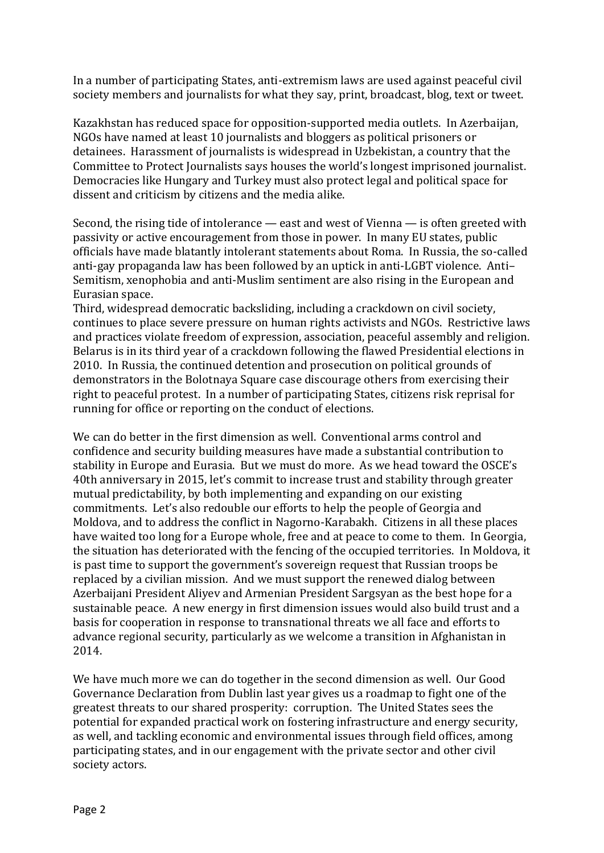In a number of participating States, anti-extremism laws are used against peaceful civil society members and journalists for what they say, print, broadcast, blog, text or tweet.

Kazakhstan has reduced space for opposition-supported media outlets. In Azerbaijan, NGOs have named at least 10 journalists and bloggers as political prisoners or detainees. Harassment of journalists is widespread in Uzbekistan, a country that the Committee to Protect Journalists says houses the world's longest imprisoned journalist. Democracies like Hungary and Turkey must also protect legal and political space for dissent and criticism by citizens and the media alike.

Second, the rising tide of intolerance — east and west of Vienna — is often greeted with passivity or active encouragement from those in power. In many EU states, public officials have made blatantly intolerant statements about Roma. In Russia, the so-called anti-gay propaganda law has been followed by an uptick in anti-LGBT violence. Anti– Semitism, xenophobia and anti-Muslim sentiment are also rising in the European and Eurasian space.

Third, widespread democratic backsliding, including a crackdown on civil society, continues to place severe pressure on human rights activists and NGOs. Restrictive laws and practices violate freedom of expression, association, peaceful assembly and religion. Belarus is in its third year of a crackdown following the flawed Presidential elections in 2010. In Russia, the continued detention and prosecution on political grounds of demonstrators in the Bolotnaya Square case discourage others from exercising their right to peaceful protest. In a number of participating States, citizens risk reprisal for running for office or reporting on the conduct of elections.

We can do better in the first dimension as well. Conventional arms control and confidence and security building measures have made a substantial contribution to stability in Europe and Eurasia. But we must do more. As we head toward the OSCE's 40th anniversary in 2015, let's commit to increase trust and stability through greater mutual predictability, by both implementing and expanding on our existing commitments. Let's also redouble our efforts to help the people of Georgia and Moldova, and to address the conflict in Nagorno-Karabakh. Citizens in all these places have waited too long for a Europe whole, free and at peace to come to them. In Georgia, the situation has deteriorated with the fencing of the occupied territories. In Moldova, it is past time to support the government's sovereign request that Russian troops be replaced by a civilian mission. And we must support the renewed dialog between Azerbaijani President Aliyev and Armenian President Sargsyan as the best hope for a sustainable peace. A new energy in first dimension issues would also build trust and a basis for cooperation in response to transnational threats we all face and efforts to advance regional security, particularly as we welcome a transition in Afghanistan in 2014.

We have much more we can do together in the second dimension as well. Our Good Governance Declaration from Dublin last year gives us a roadmap to fight one of the greatest threats to our shared prosperity: corruption. The United States sees the potential for expanded practical work on fostering infrastructure and energy security, as well, and tackling economic and environmental issues through field offices, among participating states, and in our engagement with the private sector and other civil society actors.